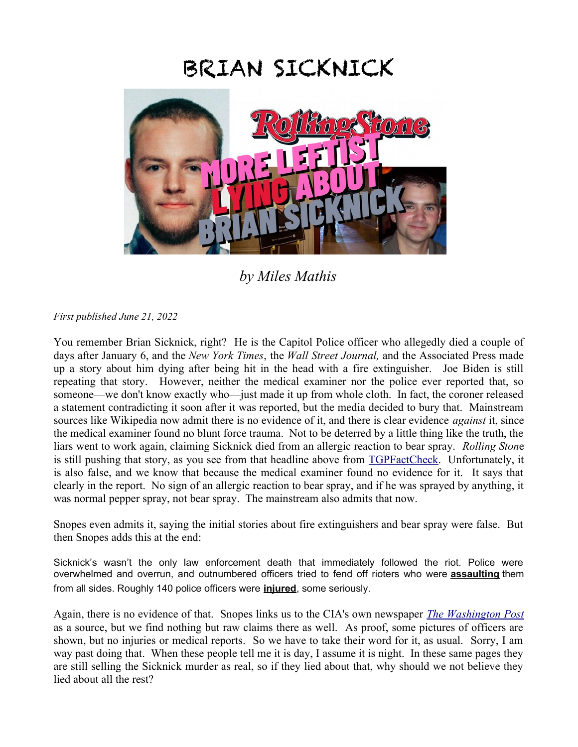## BRIAN SICKNICK



*by Miles Mathis*

*First published June 21, 2022*

You remember Brian Sicknick, right? He is the Capitol Police officer who allegedly died a couple of days after January 6, and the *New York Times*, the *Wall Street Journal,* and the Associated Press made up a story about him dying after being hit in the head with a fire extinguisher. Joe Biden is still repeating that story. However, neither the medical examiner nor the police ever reported that, so someone—we don't know exactly who—just made it up from whole cloth. In fact, the coroner released a statement contradicting it soon after it was reported, but the media decided to bury that. Mainstream sources like Wikipedia now admit there is no evidence of it, and there is clear evidence *against* it, since the medical examiner found no blunt force trauma. Not to be deterred by a little thing like the truth, the liars went to work again, claiming Sicknick died from an allergic reaction to bear spray. *Rolling Ston*e is still pushing that story, as you see from that headline above from [TGPFactCheck.](https://tgpfactcheck.com/rolling-stone-repeats-chemical-irritant-lies-about-brian-sicknicks-death/) Unfortunately, it is also false, and we know that because the medical examiner found no evidence for it. It says that clearly in the report. No sign of an allergic reaction to bear spray, and if he was sprayed by anything, it was normal pepper spray, not bear spray. The mainstream also admits that now.

Snopes even admits it, saying the initial stories about fire extinguishers and bear spray were false. But then Snopes adds this at the end:

Sicknick's wasn't the only law enforcement death that immediately followed the riot. Police were overwhelmed and overrun, and outnumbered officers tried to fend off rioters who were **[assaulting](https://www.propublica.org/article/i-dont-trust-the-people-above-me-riot-squad-cops-open-up-about-disastrous-response-to-capitol-insurrection)** them from all sides. Roughly 140 police officers were **[injured](https://www.washingtonpost.com/local/public-safety/police-union-says-140-officers-injured-in-capitol-riot/2021/01/27/60743642-60e2-11eb-9430-e7c77b5b0297_story.html)**, some seriously.

Again, there is no evidence of that. Snopes links us to the CIA's own newspaper *[The Washington Post](https://www.washingtonpost.com/local/public-safety/police-union-says-140-officers-injured-in-capitol-riot/2021/01/27/60743642-60e2-11eb-9430-e7c77b5b0297_story.html)* as a source, but we find nothing but raw claims there as well. As proof, some pictures of officers are shown, but no injuries or medical reports. So we have to take their word for it, as usual. Sorry, I am way past doing that. When these people tell me it is day, I assume it is night. In these same pages they are still selling the Sicknick murder as real, so if they lied about that, why should we not believe they lied about all the rest?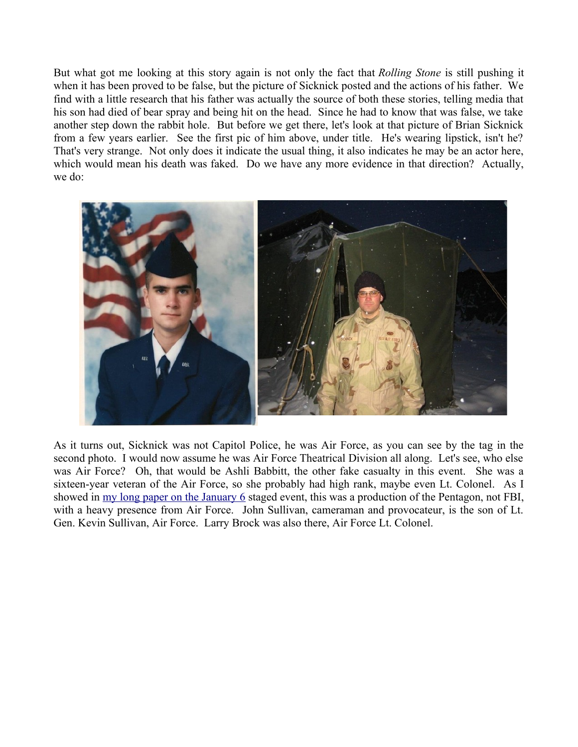But what got me looking at this story again is not only the fact that *Rolling Stone* is still pushing it when it has been proved to be false, but the picture of Sicknick posted and the actions of his father. We find with a little research that his father was actually the source of both these stories, telling media that his son had died of bear spray and being hit on the head. Since he had to know that was false, we take another step down the rabbit hole. But before we get there, let's look at that picture of Brian Sicknick from a few years earlier. See the first pic of him above, under title. He's wearing lipstick, isn't he? That's very strange. Not only does it indicate the usual thing, it also indicates he may be an actor here, which would mean his death was faked. Do we have any more evidence in that direction? Actually, we do:



As it turns out, Sicknick was not Capitol Police, he was Air Force, as you can see by the tag in the second photo. I would now assume he was Air Force Theatrical Division all along. Let's see, who else was Air Force? Oh, that would be Ashli Babbitt, the other fake casualty in this event. She was a sixteen-year veteran of the Air Force, so she probably had high rank, maybe even Lt. Colonel. As I showed in [my long paper on the January 6](http://mileswmathis.com/jan6.pdf) staged event, this was a production of the Pentagon, not FBI, with a heavy presence from Air Force. John Sullivan, cameraman and provocateur, is the son of Lt. Gen. Kevin Sullivan, Air Force. Larry Brock was also there, Air Force Lt. Colonel.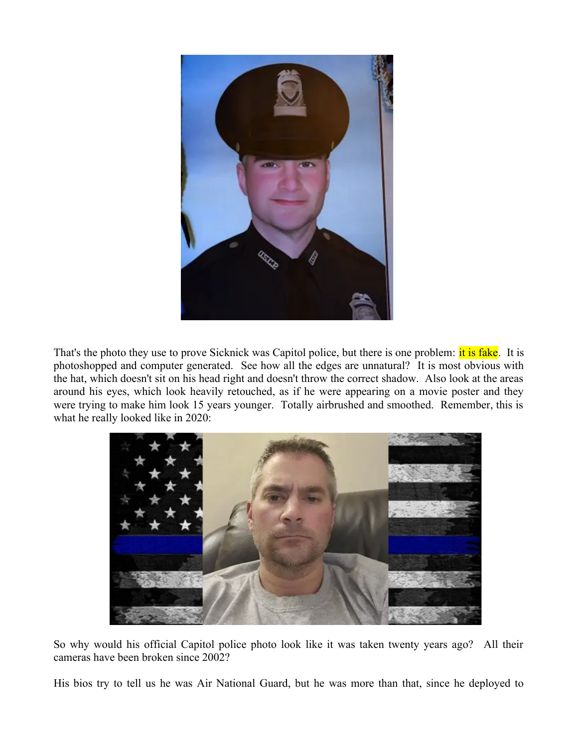

That's the photo they use to prove Sicknick was Capitol police, but there is one problem: it is fake. It is photoshopped and computer generated. See how all the edges are unnatural? It is most obvious with the hat, which doesn't sit on his head right and doesn't throw the correct shadow. Also look at the areas around his eyes, which look heavily retouched, as if he were appearing on a movie poster and they were trying to make him look 15 years younger. Totally airbrushed and smoothed. Remember, this is what he really looked like in 2020:



So why would his official Capitol police photo look like it was taken twenty years ago? All their cameras have been broken since 2002?

His bios try to tell us he was Air National Guard, but he was more than that, since he deployed to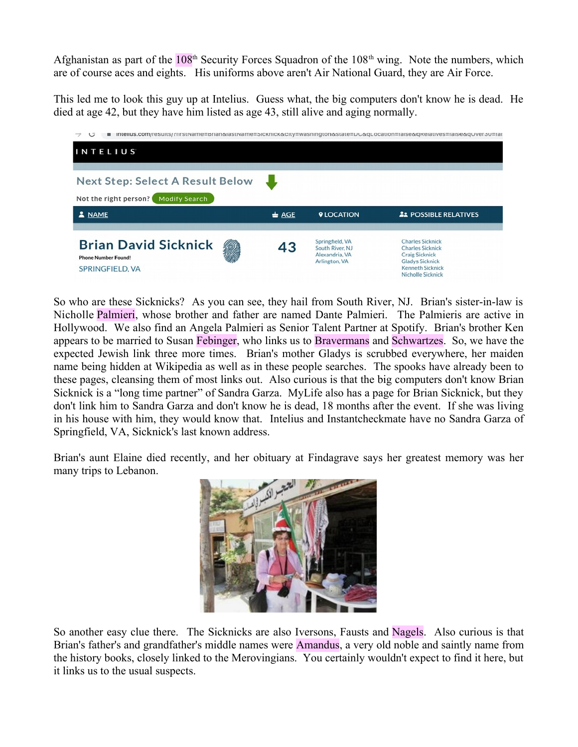Afghanistan as part of the  $108<sup>th</sup>$  Security Forces Squadron of the  $108<sup>th</sup>$  wing. Note the numbers, which are of course aces and eights. His uniforms above aren't Air National Guard, they are Air Force.

This led me to look this guy up at Intelius. Guess what, the big computers don't know he is dead. He died at age 42, but they have him listed as age 43, still alive and aging normally.

| ■ memus.com/resurts/?mstrvame=brianαiastrvame=5ickmcκαcity=washingtonαstate=υ∪αqLocation=iaiseαqRelatives=iaiseαq∪ver5∪=iai<br>$\cup$ |                  |                                                                       |                                                                                                                                                              |  |
|---------------------------------------------------------------------------------------------------------------------------------------|------------------|-----------------------------------------------------------------------|--------------------------------------------------------------------------------------------------------------------------------------------------------------|--|
| <b>INTELIUS</b>                                                                                                                       |                  |                                                                       |                                                                                                                                                              |  |
|                                                                                                                                       |                  |                                                                       |                                                                                                                                                              |  |
| <b>Next Step: Select A Result Below</b>                                                                                               |                  |                                                                       |                                                                                                                                                              |  |
| <b>Modify Search</b><br>Not the right person?                                                                                         |                  |                                                                       |                                                                                                                                                              |  |
| & NAME                                                                                                                                | $\triangleq$ AGE | <b><i>QLOCATION</i></b>                                               | <b>21 POSSIBLE RELATIVES</b>                                                                                                                                 |  |
|                                                                                                                                       |                  |                                                                       |                                                                                                                                                              |  |
| <b>Brian David Sicknick</b><br><b>Phone Number Found!</b><br>SPRINGFIELD, VA                                                          | 43               | Springfield, VA<br>South River, NJ<br>Alexandria, VA<br>Arlington, VA | <b>Charles Sicknick</b><br><b>Charles Sicknick</b><br><b>Craig Sicknick</b><br><b>Gladys Sicknick</b><br><b>Kenneth Sicknick</b><br><b>Nicholle Sicknick</b> |  |

So who are these Sicknicks? As you can see, they hail from South River, NJ. Brian's sister-in-law is Nicholle Palmieri, whose brother and father are named Dante Palmieri. The Palmieris are active in Hollywood. We also find an Angela Palmieri as Senior Talent Partner at Spotify. Brian's brother Ken appears to be married to Susan Febinger, who links us to Bravermans and Schwartzes. So, we have the expected Jewish link three more times. Brian's mother Gladys is scrubbed everywhere, her maiden name being hidden at Wikipedia as well as in these people searches. The spooks have already been to these pages, cleansing them of most links out. Also curious is that the big computers don't know Brian Sicknick is a "long time partner" of Sandra Garza. MyLife also has a page for Brian Sicknick, but they don't link him to Sandra Garza and don't know he is dead, 18 months after the event. If she was living in his house with him, they would know that. Intelius and Instantcheckmate have no Sandra Garza of Springfield, VA, Sicknick's last known address.

Brian's aunt Elaine died recently, and her obituary at Findagrave says her greatest memory was her many trips to Lebanon.



So another easy clue there. The Sicknicks are also Iversons, Fausts and Nagels. Also curious is that Brian's father's and grandfather's middle names were Amandus, a very old noble and saintly name from the history books, closely linked to the Merovingians. You certainly wouldn't expect to find it here, but it links us to the usual suspects.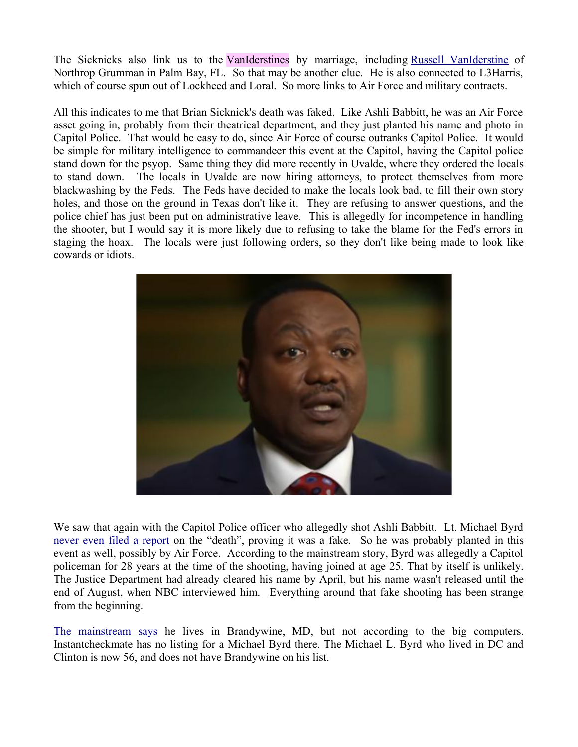The Sicknicks also link us to the VanIderstines by marriage, including [Russell VanIderstine](https://www.linkedin.com/in/russell-vaniderstine-b8497a3/) of Northrop Grumman in Palm Bay, FL. So that may be another clue. He is also connected to L3Harris, which of course spun out of Lockheed and Loral. So more links to Air Force and military contracts.

All this indicates to me that Brian Sicknick's death was faked. Like Ashli Babbitt, he was an Air Force asset going in, probably from their theatrical department, and they just planted his name and photo in Capitol Police. That would be easy to do, since Air Force of course outranks Capitol Police. It would be simple for military intelligence to commandeer this event at the Capitol, having the Capitol police stand down for the psyop. Same thing they did more recently in Uvalde, where they ordered the locals to stand down. The locals in Uvalde are now hiring attorneys, to protect themselves from more blackwashing by the Feds. The Feds have decided to make the locals look bad, to fill their own story holes, and those on the ground in Texas don't like it. They are refusing to answer questions, and the police chief has just been put on administrative leave. This is allegedly for incompetence in handling the shooter, but I would say it is more likely due to refusing to take the blame for the Fed's errors in staging the hoax. The locals were just following orders, so they don't like being made to look like cowards or idiots.



We saw that again with the Capitol Police officer who allegedly shot Ashli Babbitt. Lt. Michael Byrd [never even filed a report](https://noshitsherlock.net/2022/06/20/ashli-babbitts-shooter-lt-michael-byrd-failed-to-file-a-police-report/) on the "death", proving it was a fake. So he was probably planted in this event as well, possibly by Air Force. According to the mainstream story, Byrd was allegedly a Capitol policeman for 28 years at the time of the shooting, having joined at age 25. That by itself is unlikely. The Justice Department had already cleared his name by April, but his name wasn't released until the end of August, when NBC interviewed him. Everything around that fake shooting has been strange from the beginning.

[The mainstream says](https://conandaily.com/2021/08/26/lt-michael-byrd-biography-13-things-about-cop-who-shot-ashli-babbitt/) he lives in Brandywine, MD, but not according to the big computers. Instantcheckmate has no listing for a Michael Byrd there. The Michael L. Byrd who lived in DC and Clinton is now 56, and does not have Brandywine on his list.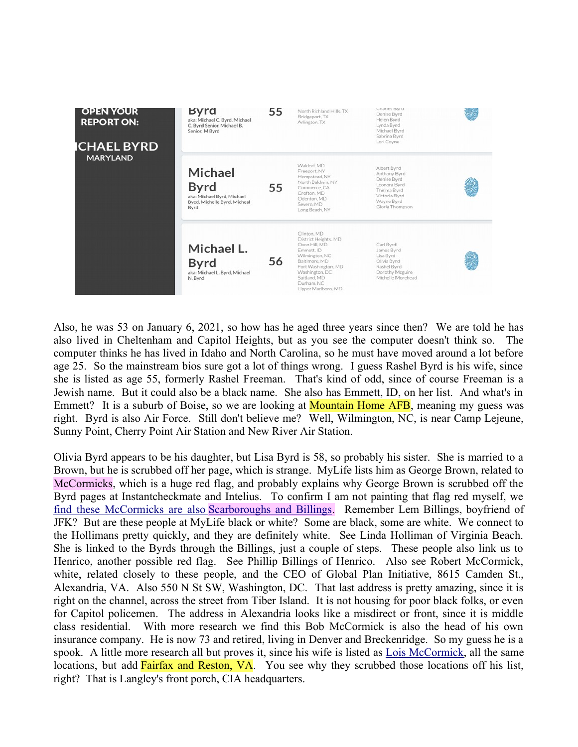

Also, he was 53 on January 6, 2021, so how has he aged three years since then? We are told he has also lived in Cheltenham and Capitol Heights, but as you see the computer doesn't think so. The computer thinks he has lived in Idaho and North Carolina, so he must have moved around a lot before age 25. So the mainstream bios sure got a lot of things wrong. I guess Rashel Byrd is his wife, since she is listed as age 55, formerly Rashel Freeman. That's kind of odd, since of course Freeman is a Jewish name. But it could also be a black name. She also has Emmett, ID, on her list. And what's in Emmett? It is a suburb of Boise, so we are looking at **Mountain Home AFB**, meaning my guess was right. Byrd is also Air Force. Still don't believe me? Well, Wilmington, NC, is near Camp Lejeune, Sunny Point, Cherry Point Air Station and New River Air Station.

Olivia Byrd appears to be his daughter, but Lisa Byrd is 58, so probably his sister. She is married to a Brown, but he is scrubbed off her page, which is strange. MyLife lists him as George Brown, related to McCormicks, which is a huge red flag, and probably explains why George Brown is scrubbed off the Byrd pages at Instantcheckmate and Intelius. To confirm I am not painting that flag red myself, we  [find these McCormicks are also](https://www.mylife.com/brandon-mccormick/e520362043938) [Scarboroughs and Billings.](https://www.mylife.com/brandon-mccormick/e520362043938) Remember Lem Billings, boyfriend of JFK? But are these people at MyLife black or white? Some are black, some are white. We connect to the Hollimans pretty quickly, and they are definitely white. See Linda Holliman of Virginia Beach. She is linked to the Byrds through the Billings, just a couple of steps. These people also link us to Henrico, another possible red flag. See Phillip Billings of Henrico. Also see Robert McCormick, white, related closely to these people, and the CEO of Global Plan Initiative, 8615 Camden St., Alexandria, VA. Also 550 N St SW, Washington, DC. That last address is pretty amazing, since it is right on the channel, across the street from Tiber Island. It is not housing for poor black folks, or even for Capitol policemen. The address in Alexandria looks like a misdirect or front, since it is middle class residential. With more research we find this Bob McCormick is also the head of his own insurance company. He is now 73 and retired, living in Denver and Breckenridge. So my guess he is a spook. A little more research all but proves it, since his wife is listed as [Lois McCormick,](https://www.instantcheckmate.com/results?firstName=lois&middleInitial=&lastName=Mccormick&city=&state=VA&age=) all the same locations, but add **Fairfax and Reston, VA**. You see why they scrubbed those locations off his list, right? That is Langley's front porch, CIA headquarters.